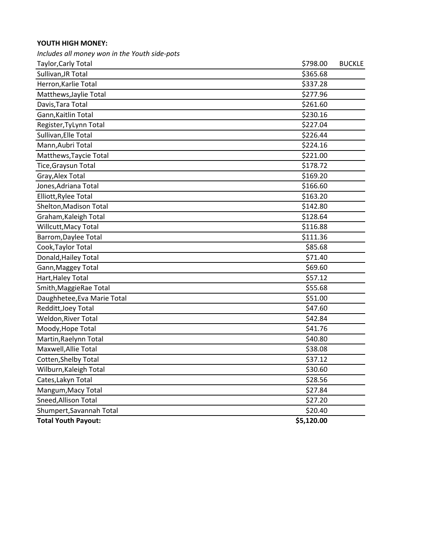## **YOUTH HIGH MONEY:**

*Includes all money won in the Youth side-pots*

| Taylor, Carly Total         | \$798.00   | <b>BUCKLE</b> |
|-----------------------------|------------|---------------|
| Sullivan, JR Total          | \$365.68   |               |
| Herron, Karlie Total        | \$337.28   |               |
| Matthews, Jaylie Total      | \$277.96   |               |
| Davis, Tara Total           | \$261.60   |               |
| Gann, Kaitlin Total         | \$230.16   |               |
| Register, TyLynn Total      | \$227.04   |               |
| Sullivan, Elle Total        | \$226.44   |               |
| Mann, Aubri Total           | \$224.16   |               |
| Matthews, Taycie Total      | \$221.00   |               |
| Tice, Graysun Total         | \$178.72   |               |
| Gray, Alex Total            | \$169.20   |               |
| Jones, Adriana Total        | \$166.60   |               |
| Elliott, Rylee Total        | \$163.20   |               |
| Shelton, Madison Total      | \$142.80   |               |
| Graham, Kaleigh Total       | \$128.64   |               |
| Willcutt, Macy Total        | \$116.88   |               |
| Barrom, Daylee Total        | \$111.36   |               |
| Cook, Taylor Total          | \$85.68    |               |
| Donald, Hailey Total        | \$71.40    |               |
| Gann, Maggey Total          | \$69.60    |               |
| Hart, Haley Total           | \$57.12    |               |
| Smith, MaggieRae Total      | \$55.68    |               |
| Daughhetee, Eva Marie Total | \$51.00    |               |
| Redditt, Joey Total         | \$47.60    |               |
| Weldon, River Total         | \$42.84    |               |
| Moody, Hope Total           | \$41.76    |               |
| Martin, Raelynn Total       | \$40.80    |               |
| Maxwell, Allie Total        | \$38.08    |               |
| Cotten, Shelby Total        | \$37.12    |               |
| Wilburn, Kaleigh Total      | \$30.60    |               |
| Cates, Lakyn Total          | \$28.56    |               |
| Mangum, Macy Total          | \$27.84    |               |
| Sneed, Allison Total        | \$27.20    |               |
| Shumpert, Savannah Total    | \$20.40    |               |
| <b>Total Youth Payout:</b>  | \$5,120.00 |               |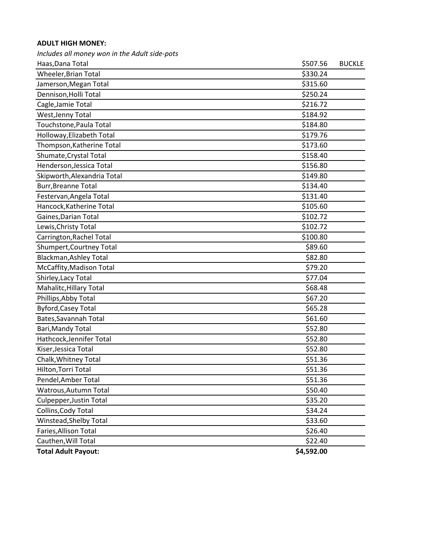## **ADULT HIGH MONEY:**

*Includes all money won in the Adult side-pots*

| Haas, Dana Total              | \$507.56   | <b>BUCKLE</b> |
|-------------------------------|------------|---------------|
| Wheeler, Brian Total          | \$330.24   |               |
| Jamerson, Megan Total         | \$315.60   |               |
| Dennison, Holli Total         | \$250.24   |               |
| Cagle, Jamie Total            | \$216.72   |               |
| West, Jenny Total             | \$184.92   |               |
| Touchstone, Paula Total       | \$184.80   |               |
| Holloway, Elizabeth Total     | \$179.76   |               |
| Thompson, Katherine Total     | \$173.60   |               |
| Shumate, Crystal Total        | \$158.40   |               |
| Henderson, Jessica Total      | \$156.80   |               |
| Skipworth, Alexandria Total   | \$149.80   |               |
| <b>Burr, Breanne Total</b>    | \$134.40   |               |
| Festervan, Angela Total       | \$131.40   |               |
| Hancock, Katherine Total      | \$105.60   |               |
| Gaines, Darian Total          | \$102.72   |               |
| Lewis, Christy Total          | \$102.72   |               |
| Carrington, Rachel Total      | \$100.80   |               |
| Shumpert, Courtney Total      | \$89.60    |               |
| <b>Blackman, Ashley Total</b> | \$82.80    |               |
| McCaffity, Madison Total      | \$79.20    |               |
| Shirley, Lacy Total           | \$77.04    |               |
| Mahalitc, Hillary Total       | \$68.48    |               |
| Phillips, Abby Total          | \$67.20    |               |
| <b>Byford, Casey Total</b>    | \$65.28    |               |
| Bates, Savannah Total         | \$61.60    |               |
| Bari, Mandy Total             | \$52.80    |               |
| Hathcock, Jennifer Total      | \$52.80    |               |
| Kiser, Jessica Total          | \$52.80    |               |
| Chalk, Whitney Total          | \$51.36    |               |
| Hilton, Torri Total           | \$51.36    |               |
| Pendel, Amber Total           | \$51.36    |               |
| Watrous, Autumn Total         | \$50.40    |               |
| Culpepper, Justin Total       | \$35.20    |               |
| Collins, Cody Total           | \$34.24    |               |
| Winstead, Shelby Total        | \$33.60    |               |
| Faries, Allison Total         | \$26.40    |               |
| Cauthen, Will Total           | \$22.40    |               |
| <b>Total Adult Payout:</b>    | \$4,592.00 |               |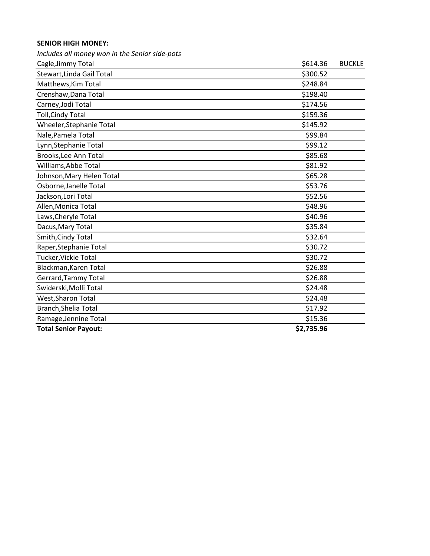## **SENIOR HIGH MONEY:**

*Includes all money won in the Senior side-pots*

| Cagle, Jimmy Total          | \$614.36   | <b>BUCKLE</b> |
|-----------------------------|------------|---------------|
| Stewart, Linda Gail Total   | \$300.52   |               |
| Matthews, Kim Total         | \$248.84   |               |
| Crenshaw, Dana Total        | \$198.40   |               |
| Carney, Jodi Total          | \$174.56   |               |
| <b>Toll, Cindy Total</b>    | \$159.36   |               |
| Wheeler, Stephanie Total    | \$145.92   |               |
| Nale, Pamela Total          | \$99.84    |               |
| Lynn, Stephanie Total       | \$99.12    |               |
| Brooks, Lee Ann Total       | \$85.68    |               |
| Williams, Abbe Total        | \$81.92    |               |
| Johnson, Mary Helen Total   | \$65.28    |               |
| Osborne, Janelle Total      | \$53.76    |               |
| Jackson, Lori Total         | \$52.56    |               |
| Allen, Monica Total         | \$48.96    |               |
| Laws, Cheryle Total         | \$40.96    |               |
| Dacus, Mary Total           | \$35.84    |               |
| Smith, Cindy Total          | \$32.64    |               |
| Raper, Stephanie Total      | \$30.72    |               |
| Tucker, Vickie Total        | \$30.72    |               |
| Blackman, Karen Total       | \$26.88    |               |
| Gerrard, Tammy Total        | \$26.88    |               |
| Swiderski, Molli Total      | \$24.48    |               |
| West, Sharon Total          | \$24.48    |               |
| Branch, Shelia Total        | \$17.92    |               |
| Ramage, Jennine Total       | \$15.36    |               |
| <b>Total Senior Payout:</b> | \$2,735.96 |               |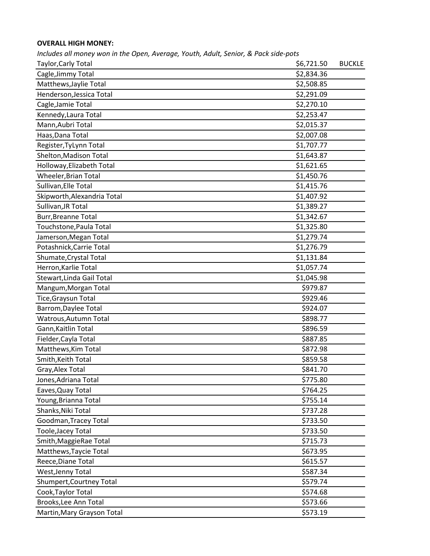## **OVERALL HIGH MONEY:**

| Includes all money won in the Open, Average, Youth, Adult, Senior, & Pack side-pots |            |               |
|-------------------------------------------------------------------------------------|------------|---------------|
| Taylor, Carly Total                                                                 | \$6,721.50 | <b>BUCKLE</b> |
| Cagle, Jimmy Total                                                                  | \$2,834.36 |               |
| Matthews, Jaylie Total                                                              | \$2,508.85 |               |
| Henderson, Jessica Total                                                            | \$2,291.09 |               |
| Cagle, Jamie Total                                                                  | \$2,270.10 |               |
| Kennedy, Laura Total                                                                | \$2,253.47 |               |
| Mann, Aubri Total                                                                   | \$2,015.37 |               |
| Haas, Dana Total                                                                    | \$2,007.08 |               |
| Register, TyLynn Total                                                              | \$1,707.77 |               |
| Shelton, Madison Total                                                              | \$1,643.87 |               |
| Holloway, Elizabeth Total                                                           | \$1,621.65 |               |
| Wheeler, Brian Total                                                                | \$1,450.76 |               |
| Sullivan, Elle Total                                                                | \$1,415.76 |               |
| Skipworth, Alexandria Total                                                         | \$1,407.92 |               |
| Sullivan, JR Total                                                                  | \$1,389.27 |               |
| <b>Burr, Breanne Total</b>                                                          | \$1,342.67 |               |
| Touchstone, Paula Total                                                             | \$1,325.80 |               |
| Jamerson, Megan Total                                                               | \$1,279.74 |               |
| Potashnick, Carrie Total                                                            | \$1,276.79 |               |
| Shumate, Crystal Total                                                              | \$1,131.84 |               |
| Herron, Karlie Total                                                                | \$1,057.74 |               |
| Stewart, Linda Gail Total                                                           | \$1,045.98 |               |
| Mangum, Morgan Total                                                                | \$979.87   |               |
| Tice, Graysun Total                                                                 | \$929.46   |               |
| Barrom, Daylee Total                                                                | \$924.07   |               |
| Watrous, Autumn Total                                                               | \$898.77   |               |
| Gann, Kaitlin Total                                                                 | \$896.59   |               |
| Fielder, Cayla Total                                                                | \$887.85   |               |
| Matthews, Kim Total                                                                 | \$872.98   |               |
| Smith, Keith Total                                                                  | \$859.58   |               |
| Gray, Alex Total                                                                    | \$841.70   |               |
| Jones, Adriana Total                                                                | \$775.80   |               |
| Eaves, Quay Total                                                                   | \$764.25   |               |
| Young, Brianna Total                                                                | \$755.14   |               |
| Shanks, Niki Total                                                                  | \$737.28   |               |
| Goodman, Tracey Total                                                               | \$733.50   |               |
| Toole, Jacey Total                                                                  | \$733.50   |               |
| Smith, MaggieRae Total                                                              | \$715.73   |               |
| Matthews, Taycie Total                                                              | \$673.95   |               |
| Reece, Diane Total                                                                  | \$615.57   |               |
| West, Jenny Total                                                                   | \$587.34   |               |
| Shumpert, Courtney Total                                                            | \$579.74   |               |
| Cook, Taylor Total                                                                  | \$574.68   |               |
| Brooks, Lee Ann Total                                                               | \$573.66   |               |
| Martin, Mary Grayson Total                                                          | \$573.19   |               |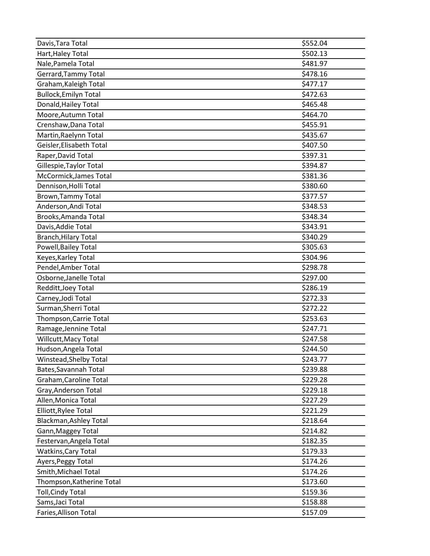| Davis, Tara Total             | \$552.04 |
|-------------------------------|----------|
| Hart, Haley Total             | \$502.13 |
| Nale, Pamela Total            | \$481.97 |
| Gerrard, Tammy Total          | \$478.16 |
| Graham, Kaleigh Total         | \$477.17 |
| <b>Bullock, Emilyn Total</b>  | \$472.63 |
| Donald, Hailey Total          | \$465.48 |
| Moore, Autumn Total           | \$464.70 |
| Crenshaw, Dana Total          | \$455.91 |
| Martin, Raelynn Total         | \$435.67 |
| Geisler, Elisabeth Total      | \$407.50 |
| Raper, David Total            | \$397.31 |
| Gillespie, Taylor Total       | \$394.87 |
| McCormick, James Total        | \$381.36 |
| Dennison, Holli Total         | \$380.60 |
| <b>Brown, Tammy Total</b>     | \$377.57 |
| Anderson, Andi Total          | \$348.53 |
| Brooks, Amanda Total          | \$348.34 |
| Davis, Addie Total            | \$343.91 |
| <b>Branch, Hilary Total</b>   | \$340.29 |
| Powell, Bailey Total          | \$305.63 |
| Keyes, Karley Total           | \$304.96 |
| Pendel, Amber Total           | \$298.78 |
| Osborne, Janelle Total        | \$297.00 |
| Redditt, Joey Total           | \$286.19 |
| Carney, Jodi Total            | \$272.33 |
| Surman, Sherri Total          | \$272.22 |
| Thompson, Carrie Total        | \$253.63 |
| Ramage, Jennine Total         | \$247.71 |
| Willcutt, Macy Total          | \$247.58 |
| Hudson, Angela Total          | \$244.50 |
| Winstead, Shelby Total        | \$243.77 |
| Bates, Savannah Total         | \$239.88 |
| Graham, Caroline Total        | \$229.28 |
| Gray, Anderson Total          | \$229.18 |
| Allen, Monica Total           | \$227.29 |
| Elliott, Rylee Total          | \$221.29 |
| <b>Blackman, Ashley Total</b> | \$218.64 |
| Gann, Maggey Total            | \$214.82 |
| Festervan, Angela Total       | \$182.35 |
| <b>Watkins, Cary Total</b>    | \$179.33 |
| Ayers, Peggy Total            | \$174.26 |
| Smith, Michael Total          | \$174.26 |
| Thompson, Katherine Total     | \$173.60 |
| <b>Toll, Cindy Total</b>      | \$159.36 |
| Sams, Jaci Total              | \$158.88 |
| Faries, Allison Total         | \$157.09 |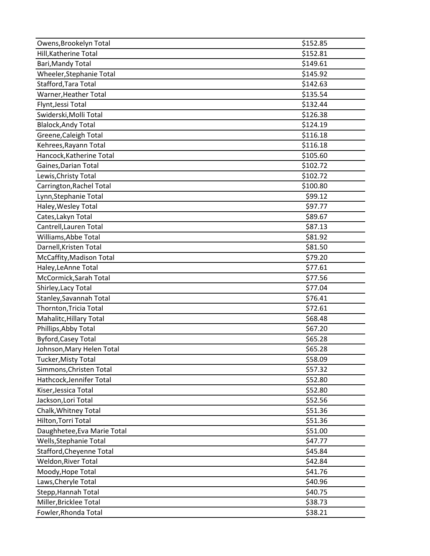| Owens, Brookelyn Total      | \$152.85 |
|-----------------------------|----------|
| Hill, Katherine Total       | \$152.81 |
| Bari, Mandy Total           | \$149.61 |
| Wheeler, Stephanie Total    | \$145.92 |
| Stafford, Tara Total        | \$142.63 |
| Warner, Heather Total       | \$135.54 |
| Flynt, Jessi Total          | \$132.44 |
| Swiderski, Molli Total      | \$126.38 |
| <b>Blalock, Andy Total</b>  | \$124.19 |
| Greene, Caleigh Total       | \$116.18 |
| Kehrees, Rayann Total       | \$116.18 |
| Hancock, Katherine Total    | \$105.60 |
| Gaines, Darian Total        | \$102.72 |
| Lewis, Christy Total        | \$102.72 |
| Carrington, Rachel Total    | \$100.80 |
| Lynn, Stephanie Total       | \$99.12  |
| Haley, Wesley Total         | \$97.77  |
| Cates, Lakyn Total          | \$89.67  |
| Cantrell, Lauren Total      | \$87.13  |
| Williams, Abbe Total        | \$81.92  |
| Darnell, Kristen Total      | \$81.50  |
| McCaffity, Madison Total    | \$79.20  |
| Haley, LeAnne Total         | \$77.61  |
| McCormick, Sarah Total      | \$77.56  |
| Shirley, Lacy Total         | \$77.04  |
| Stanley, Savannah Total     | \$76.41  |
| Thornton, Tricia Total      | \$72.61  |
| Mahalitc, Hillary Total     | \$68.48  |
| Phillips, Abby Total        | \$67.20  |
| <b>Byford, Casey Total</b>  | \$65.28  |
| Johnson, Mary Helen Total   | \$65.28  |
| Tucker, Misty Total         | \$58.09  |
| Simmons, Christen Total     | \$57.32  |
| Hathcock, Jennifer Total    | \$52.80  |
| Kiser, Jessica Total        | \$52.80  |
| Jackson, Lori Total         | \$52.56  |
| Chalk, Whitney Total        | \$51.36  |
| Hilton, Torri Total         | \$51.36  |
| Daughhetee, Eva Marie Total | \$51.00  |
| Wells, Stephanie Total      | \$47.77  |
| Stafford, Cheyenne Total    | \$45.84  |
| Weldon, River Total         | \$42.84  |
| Moody, Hope Total           | \$41.76  |
| Laws, Cheryle Total         | \$40.96  |
| Stepp, Hannah Total         | \$40.75  |
| Miller, Bricklee Total      | \$38.73  |
| Fowler, Rhonda Total        | \$38.21  |